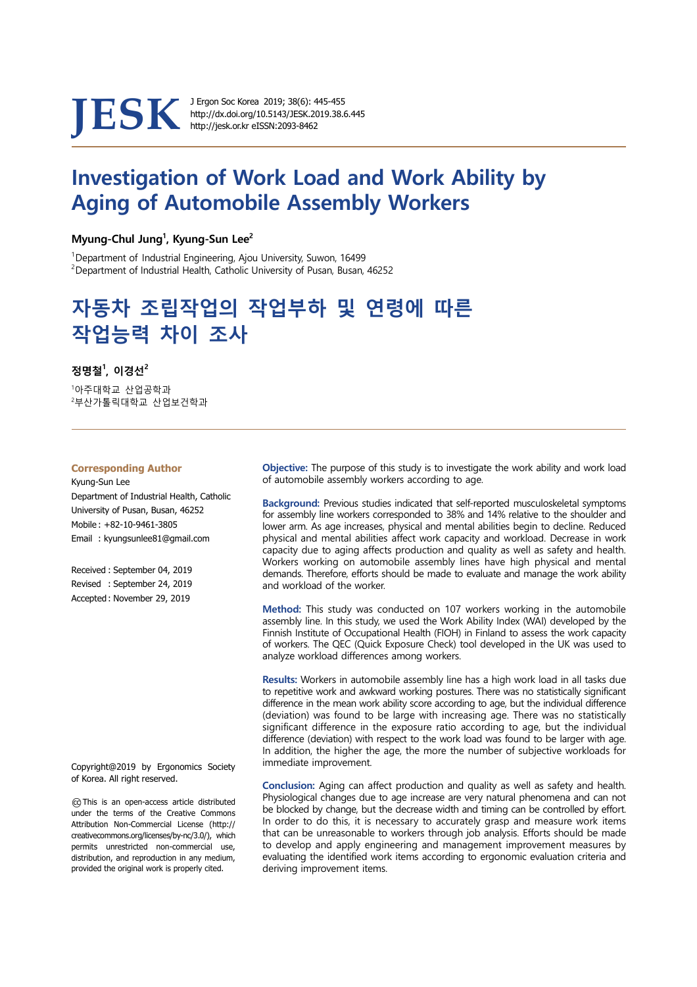

http://dx.doi.org/10.5143/JESK.2019.38.6.445

# Investigation of Work Load and Work Ability by Aging of Automobile Assembly Workers

#### Myung-Chul Jung<sup>1</sup>, Kyung-Sun Lee<sup>2</sup>

<sup>1</sup>Department of Industrial Engineering, Ajou University, Suwon, 16499  $2$ Department of Industrial Health, Catholic University of Pusan, Busan, 46252

# 자동차 조립작업의 작업부하 및 연령에 따른 작업능력 차이 조사

## 정명철 $^{\rm 1}$ , 이경선 $^{\rm 2}$

<sup>1</sup>아주대학교 산업공학과 <sup>2</sup>부산가톨릭대학교 산업보건학과

#### **Corresponding Author**

Kyung-Sun Lee Department of Industrial Health, Catholic University of Pusan, Busan, 46252 Mobile : +82-10-9461-3805 Email : kyungsunlee81@gmail.com

Received : September 04, 2019 Revised : September 24, 2019 Accepted : November 29, 2019

Copyright@2019 by Ergonomics Society of Korea. All right reserved.

○cc This is an open-access article distributed under the terms of the Creative Commons Attribution Non-Commercial License (http:// creativecommons.org/licenses/by-nc/3.0/), which permits unrestricted non-commercial use, distribution, and reproduction in any medium, provided the original work is properly cited.

Objective: The purpose of this study is to investigate the work ability and work load of automobile assembly workers according to age.

Background: Previous studies indicated that self-reported musculoskeletal symptoms for assembly line workers corresponded to 38% and 14% relative to the shoulder and lower arm. As age increases, physical and mental abilities begin to decline. Reduced physical and mental abilities affect work capacity and workload. Decrease in work capacity due to aging affects production and quality as well as safety and health. Workers working on automobile assembly lines have high physical and mental demands. Therefore, efforts should be made to evaluate and manage the work ability and workload of the worker.

Method: This study was conducted on 107 workers working in the automobile assembly line. In this study, we used the Work Ability Index (WAI) developed by the Finnish Institute of Occupational Health (FIOH) in Finland to assess the work capacity of workers. The QEC (Quick Exposure Check) tool developed in the UK was used to analyze workload differences among workers.

Results: Workers in automobile assembly line has a high work load in all tasks due to repetitive work and awkward working postures. There was no statistically significant difference in the mean work ability score according to age, but the individual difference (deviation) was found to be large with increasing age. There was no statistically significant difference in the exposure ratio according to age, but the individual difference (deviation) with respect to the work load was found to be larger with age. In addition, the higher the age, the more the number of subjective workloads for immediate improvement.

Conclusion: Aging can affect production and quality as well as safety and health. Physiological changes due to age increase are very natural phenomena and can not be blocked by change, but the decrease width and timing can be controlled by effort. In order to do this, it is necessary to accurately grasp and measure work items that can be unreasonable to workers through job analysis. Efforts should be made to develop and apply engineering and management improvement measures by evaluating the identified work items according to ergonomic evaluation criteria and deriving improvement items.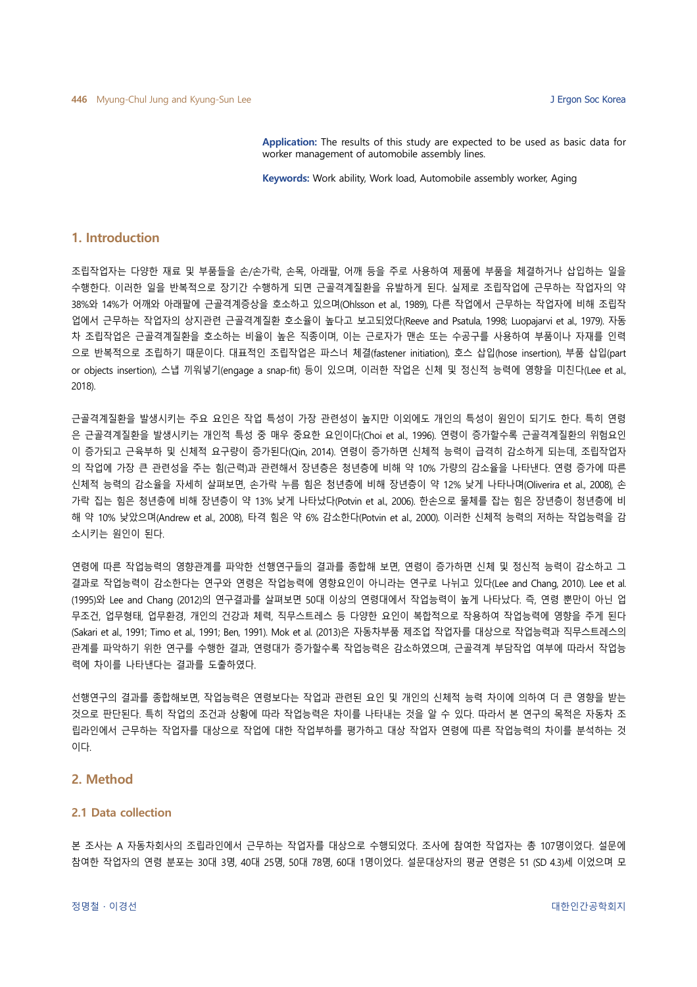Application: The results of this study are expected to be used as basic data for worker management of automobile assembly lines.

Keywords: Work ability, Work load, Automobile assembly worker, Aging

### 1. Introduction

조립작업자는 다양한 재료 및 부품들을 손/손가락, 손목, 아래팔, 어깨 등을 주로 사용하여 제품에 부품을 체결하거나 삽입하는 일을 수행한다. 이러한 일을 반복적으로 장기간 수행하게 되면 근골격계질환을 유발하게 된다. 실제로 조립작업에 근무하는 작업자의 약 38%와 14%가 어깨와 아래팔에 근골격계증상을 호소하고 있으며(Ohlsson et al., 1989), 다른 작업에서 근무하는 작업자에 비해 조립작 업에서 근무하는 작업자의 상지관련 근골격계질환 호소율이 높다고 보고되었다(Reeve and Psatula, 1998; Luopajarvi et al., 1979). 자동 차 조립작업은 근골격계질환을 호소하는 비율이 높은 직종이며, 이는 근로자가 맨손 또는 수공구를 사용하여 부품이나 자재를 인력 으로 반복적으로 조립하기 때문이다. 대표적인 조립작업은 파스너 체결(fastener initiation), 호스 삽입(hose insertion), 부품 삽입(part or objects insertion), 스냅 끼워넣기(engage a snap-fit) 등이 있으며, 이러한 작업은 신체 및 정신적 능력에 영향을 미친다(Lee et al., 2018).

근골격계질환을 발생시키는 주요 요인은 작업 특성이 가장 관련성이 높지만 이외에도 개인의 특성이 원인이 되기도 한다. 특히 연령 은 근골격계질환을 발생시키는 개인적 특성 중 매우 중요한 요인이다(Choi et al., 1996). 연령이 증가할수록 근골격계질환의 위험요인 이 증가되고 근육부하 및 신체적 요구량이 증가된다(Qin, 2014). 연령이 증가하면 신체적 능력이 급격히 감소하게 되는데, 조립작업자 의 작업에 가장 큰 관련성을 주는 힘(근력)과 관련해서 장년층은 청년층에 비해 약 10% 가량의 감소율을 나타낸다. 연령 증가에 따른 신체적 능력의 감소율을 자세히 살펴보면, 손가락 누름 힘은 청년층에 비해 장년층이 약 12% 낮게 나타나며(Oliverira et al., 2008), 손 가락 집는 힘은 청년층에 비해 장년층이 약 13% 낮게 나타났다(Potvin et al., 2006). 한손으로 물체를 잡는 힘은 장년층이 청년층에 비 해 약 10% 낮았으며(Andrew et al., 2008), 타격 힘은 약 6% 감소한다(Potvin et al., 2000). 이러한 신체적 능력의 저하는 작업능력을 감 소시키는 원인이 된다.

연령에 따른 작업능력의 영향관계를 파악한 선행연구들의 결과를 종합해 보면, 연령이 증가하면 신체 및 정신적 능력이 감소하고 그 결과로 작업능력이 감소한다는 연구와 연령은 작업능력에 영향요인이 아니라는 연구로 나뉘고 있다(Lee and Chang, 2010). Lee et al. (1995)와 Lee and Chang (2012)의 연구결과를 살펴보면 50대 이상의 연령대에서 작업능력이 높게 나타났다. 즉, 연령 뿐만이 아닌 업 무조건, 업무형태, 업무환경, 개인의 건강과 체력, 직무스트레스 등 다양한 요인이 복합적으로 작용하여 작업능력에 영향을 주게 된다 (Sakari et al., 1991; Timo et al., 1991; Ben, 1991). Mok et al. (2013)은 자동차부품 제조업 작업자를 대상으로 작업능력과 직무스트레스의 관계를 파악하기 위한 연구를 수행한 결과, 연령대가 증가할수록 작업능력은 감소하였으며, 근골격계 부담작업 여부에 따라서 작업능 력에 차이를 나타낸다는 결과를 도출하였다.

선행연구의 결과를 종합해보면, 작업능력은 연령보다는 작업과 관련된 요인 및 개인의 신체적 능력 차이에 의하여 더 큰 영향을 받는 것으로 판단된다. 특히 작업의 조건과 상황에 따라 작업능력은 차이를 나타내는 것을 알 수 있다. 따라서 본 연구의 목적은 자동차 조 립라인에서 근무하는 작업자를 대상으로 작업에 대한 작업부하를 평가하고 대상 작업자 연령에 따른 작업능력의 차이를 분석하는 것 이다.

#### 2. Method

### 2.1 Data collection

본 조사는 A 자동차회사의 조립라인에서 근무하는 작업자를 대상으로 수행되었다. 조사에 참여한 작업자는 총 107명이었다. 설문에 참여한 작업자의 연령 분포는 30대 3명, 40대 25명, 50대 78명, 60대 1명이었다. 설문대상자의 평균 연령은 51 (SD 4.3)세 이었으며 모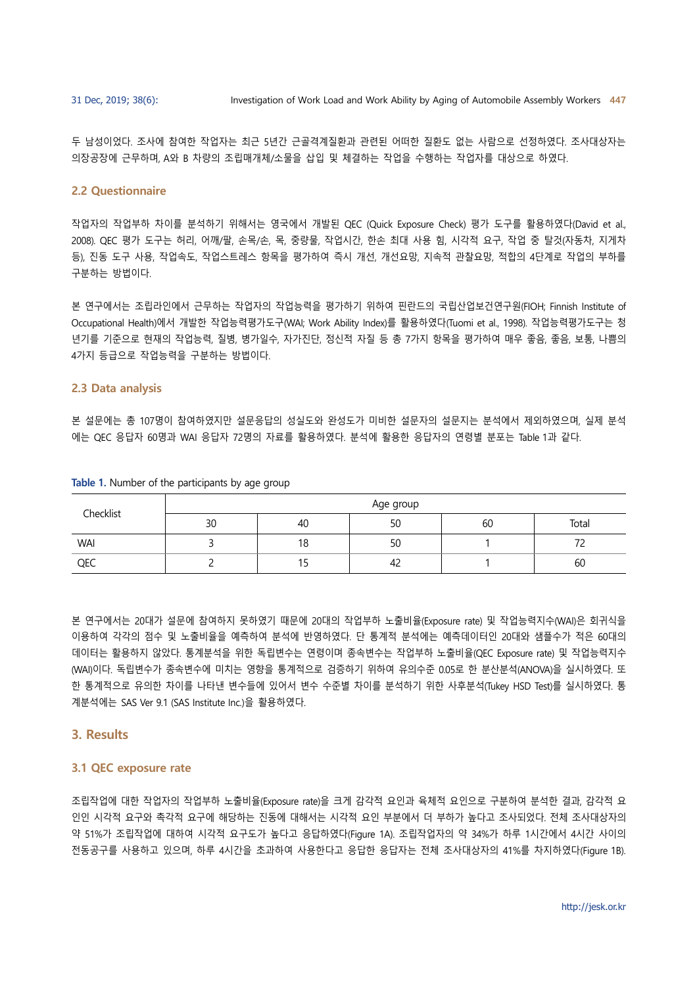두 남성이었다. 조사에 참여한 작업자는 최근 5년간 근골격계질환과 관련된 어떠한 질환도 없는 사람으로 선정하였다. 조사대상자는 의장공장에 근무하며, A와 B 차량의 조립매개체/소물을 삽입 및 체결하는 작업을 수행하는 작업자를 대상으로 하였다.

#### 2.2 Questionnaire

작업자의 작업부하 차이를 분석하기 위해서는 영국에서 개발된 QEC (Quick Exposure Check) 평가 도구를 활용하였다(David et al., 2008). QEC 평가 도구는 허리, 어깨/팔, 손목/손, 목, 중량물, 작업시간, 한손 최대 사용 힘, 시각적 요구, 작업 중 탈것(자동차, 지게차 등), 진동 도구 사용, 작업속도, 작업스트레스 항목을 평가하여 즉시 개선, 개선요망, 지속적 관찰요망, 적합의 4단계로 작업의 부하를 구분하는 방법이다.

본 연구에서는 조립라인에서 근무하는 작업자의 작업능력을 평가하기 위하여 핀란드의 국립산업보건연구원(FIOH; Finnish Institute of Occupational Health)에서 개발한 작업능력평가도구(WAI; Work Ability Index)를 활용하였다(Tuomi et al., 1998). 작업능력평가도구는 청 년기를 기준으로 현재의 작업능력, 질병, 병가일수, 자가진단, 정신적 자질 등 총 7가지 항목을 평가하여 매우 좋음, 좋음, 보통, 나쁨의 4가지 등급으로 작업능력을 구분하는 방법이다.

#### 2.3 Data analysis

본 설문에는 총 107명이 참여하였지만 설문응답의 성실도와 완성도가 미비한 설문자의 설문지는 분석에서 제외하였으며, 실제 분석 에는 QEC 응답자 60명과 WAI 응답자 72명의 자료를 활용하였다. 분석에 활용한 응답자의 연령별 분포는 Table 1과 같다.

| Checklist  | Age group |     |    |    |       |
|------------|-----------|-----|----|----|-------|
|            | 30        | 40  | 50 | 60 | Total |
| <b>WAI</b> |           | 18  | 50 |    |       |
| QEC        |           | כ ו | ے4 |    | 60    |

Table 1. Number of the participants by age group

본 연구에서는 20대가 설문에 참여하지 못하였기 때문에 20대의 작업부하 노출비율(Exposure rate) 및 작업능력지수(WAI)은 회귀식을 이용하여 각각의 점수 및 노출비율을 예측하여 분석에 반영하였다. 단 통계적 분석에는 예측데이터인 20대와 샘플수가 적은 60대의 데이터는 활용하지 않았다. 통계분석을 위한 독립변수는 연령이며 종속변수는 작업부하 노출비율(QEC Exposure rate) 및 작업능력지수 (WAI)이다. 독립변수가 종속변수에 미치는 영향을 통계적으로 검증하기 위하여 유의수준 0.05로 한 분산분석(ANOVA)을 실시하였다. 또 한 통계적으로 유의한 차이를 나타낸 변수들에 있어서 변수 수준별 차이를 분석하기 위한 사후분석(Tukey HSD Test)를 실시하였다. 통 계분석에는 SAS Ver 9.1 (SAS Institute Inc.)을 활용하였다.

#### 3. Results

#### 3.1 QEC exposure rate

조립작업에 대한 작업자의 작업부하 노출비율(Exposure rate)을 크게 감각적 요인과 육체적 요인으로 구분하여 분석한 결과, 감각적 요 인인 시각적 요구와 촉각적 요구에 해당하는 진동에 대해서는 시각적 요인 부분에서 더 부하가 높다고 조사되었다. 전체 조사대상자의 약 51%가 조립작업에 대하여 시각적 요구도가 높다고 응답하였다(Figure 1A). 조립작업자의 약 34%가 하루 1시간에서 4시간 사이의 전동공구를 사용하고 있으며, 하루 4시간을 초과하여 사용한다고 응답한 응답자는 전체 조사대상자의 41%를 차지하였다(Figure 1B).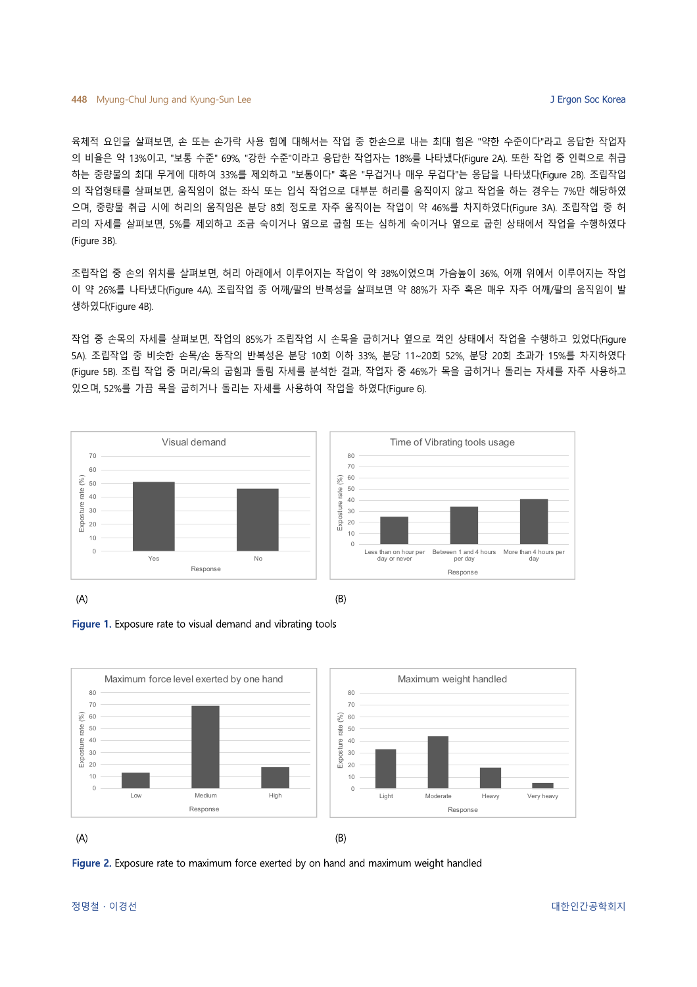육체적 요인을 살펴보면, 손 또는 손가락 사용 힘에 대해서는 작업 중 한손으로 내는 최대 힘은 "약한 수준이다"라고 응답한 작업자 의 비율은 약 13%이고, "보통 수준" 69%, "강한 수준"이라고 응답한 작업자는 18%를 나타냈다(Figure 2A). 또한 작업 중 인력으로 취급 하는 중량물의 최대 무게에 대하여 33%를 제외하고 "보통이다" 혹은 "무겁거나 매우 무겁다"는 응답을 나타냈다(Figure 2B). 조립작업 의 작업형태를 살펴보면, 움직임이 없는 좌식 또는 입식 작업으로 대부분 허리를 움직이지 않고 작업을 하는 경우는 7%만 해당하였 으며, 중량물 취급 시에 허리의 움직임은 분당 8회 정도로 자주 움직이는 작업이 약 46%를 차지하였다(Figure 3A). 조립작업 중 허 리의 자세를 살펴보면, 5%를 제외하고 조금 숙이거나 옆으로 굽힘 또는 심하게 숙이거나 옆으로 굽힌 상태에서 작업을 수행하였다 (Figure 3B).

조립작업 중 손의 위치를 살펴보면, 허리 아래에서 이루어지는 작업이 약 38%이었으며 가슴높이 36%, 어깨 위에서 이루어지는 작업 이 약 26%를 나타냈다(Figure 4A). 조립작업 중 어깨/팔의 반복성을 살펴보면 약 88%가 자주 혹은 매우 자주 어깨/팔의 움직임이 발 생하였다(Figure 4B).

작업 중 손목의 자세를 살펴보면, 작업의 85%가 조립작업 시 손목을 굽히거나 옆으로 꺽인 상태에서 작업을 수행하고 있었다(Figure 5A). 조립작업 중 비슷한 손목/손 동작의 반복성은 분당 10회 이하 33%, 분당 11~20회 52%, 분당 20회 초과가 15%를 차지하였다 (Figure 5B). 조립 작업 중 머리/목의 굽힘과 돌림 자세를 분석한 결과, 작업자 중 46%가 목을 굽히거나 돌리는 자세를 자주 사용하고 있으며, 52%를 가끔 목을 굽히거나 돌리는 자세를 사용하여 작업을 하였다(Figure 6).







Figure 2. Exposure rate to maximum force exerted by on hand and maximum weight handled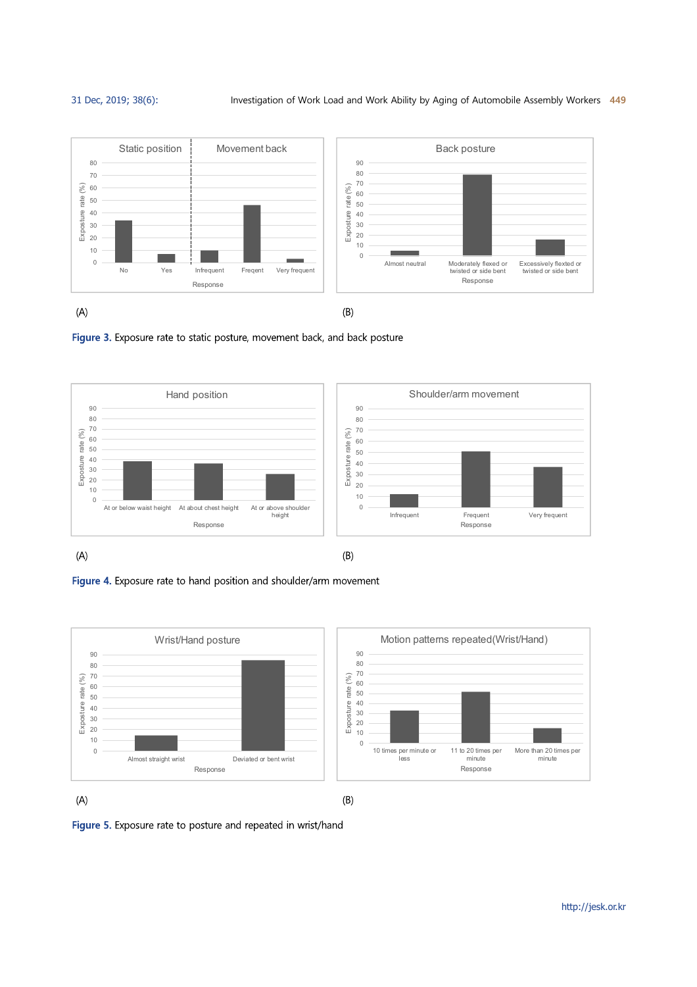

Figure 3. Exposure rate to static posture, movement back, and back posture



Figure 4. Exposure rate to hand position and shoulder/arm movement



Figure 5. Exposure rate to posture and repeated in wrist/hand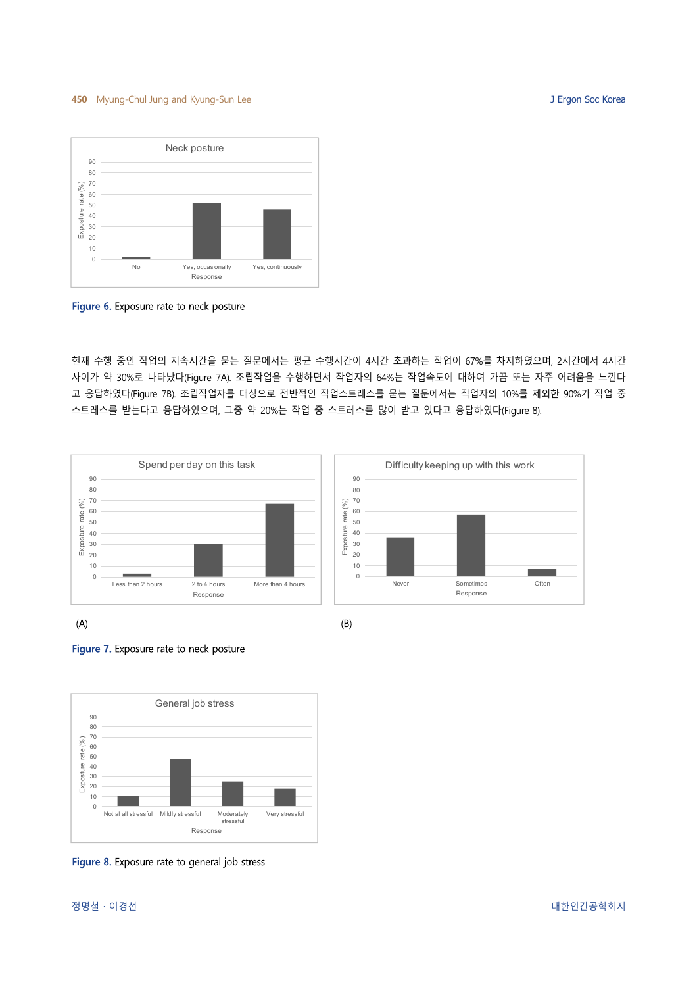#### 450 Myung-Chul Jung and Kyung-Sun Lee J Ergon Soc Korea J Ergon Soc Korea



Figure 6. Exposure rate to neck posture

현재 수행 중인 작업의 지속시간을 묻는 질문에서는 평균 수행시간이 4시간 초과하는 작업이 67%를 차지하였으며, 2시간에서 4시간 사이가 약 30%로 나타났다(Figure 7A). 조립작업을 수행하면서 작업자의 64%는 작업속도에 대하여 가끔 또는 자주 어려움을 느낀다 고 응답하였다(Figure 7B). 조립작업자를 대상으로 전반적인 작업스트레스를 묻는 질문에서는 작업자의 10%를 제외한 90%가 작업 중 스트레스를 받는다고 응답하였으며, 그중 약 20%는 작업 중 스트레스를 많이 받고 있다고 응답하였다(Figure 8).



 $(A)$ 





Figure 8. Exposure rate to general job stress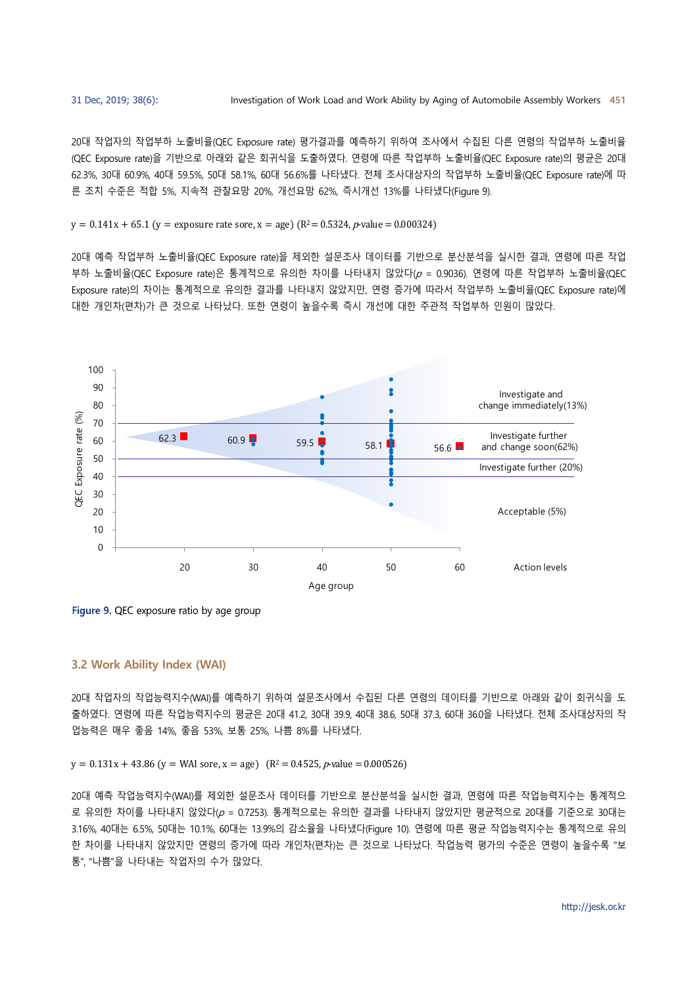20대 작업자의 작업부하 노출비율(QEC Exposure rate) 평가결과를 예측하기 위하여 조사에서 수집된 다른 연령의 작업부하 노출비율 (QEC Exposure rate)을 기반으로 아래와 같은 회귀식을 도출하였다. 연령에 따른 작업부하 노출비율(QEC Exposure rate)의 평균은 20대 62.3%, 30대 60.9%, 40대 59.5%, 50대 58.1%, 60대 56.6%를 나타냈다. 전체 조사대상자의 작업부하 노출비율(QEC Exposure rate)에 따 른 조치 수준은 적합 5%, 지속적 관찰요망 20%, 개선요망 62%, 즉시개선 13%를 나타냈다(Figure 9).

 $y = 0.141x + 65.1$  (y = exposure rate sore, x = age) (R<sup>2</sup> = 0.5324, p-value = 0.000324)

20대 예측 작업부하 노출비율(QEC Exposure rate)을 제외한 설문조사 데이터를 기반으로 분산분석을 실시한 결과, 연령에 따른 작업 부하 노출비율(QEC Exposure rate)은 통계적으로 유의한 차이를 나타내지 않았다 $(p = 0.9036)$ . 연령에 따른 작업부하 노출비율(QEC Exposure rate)의 차이는 통계적으로 유의한 결과를 나타내지 않았지만, 연령 증가에 따라서 작업부하 노출비율(QEC Exposure rate)에 대한 개인차(편차)가 큰 것으로 나타났다. 또한 연령이 높을수록 즉시 개선에 대한 주관적 작업부하 인원이 많았다.



Figure 9. QEC exposure ratio by age group

#### 3.2 Work Ability Index (WAI)

20대 작업자의 작업능력지수(WAI)를 예측하기 위하여 설문조사에서 수집된 다른 연령의 데이터를 기반으로 아래와 같이 회귀식을 도 출하였다. 연령에 따른 작업능력지수의 평균은 20대 41.2, 30대 39.9, 40대 38.6, 50대 37.3, 60대 36.0을 나타냈다. 전체 조사대상자의 작 업능력은 매우 좋음 14%, 좋음 53%, 보통 25%, 나쁨 8%를 나타냈다.

 $y = 0.131x + 43.86$  ( $y = WAI$  sore,  $x = age$ ) ( $R<sup>2</sup> = 0.4525$ , p-value = 0.000526)

20대 예측 작업능력지수(WAI)를 제외한 설문조사 데이터를 기반으로 분산분석을 실시한 결과, 연령에 따른 작업능력지수는 통계적으 로 유의한 차이를 나타내지 않았다(p = 0.7253). 통계적으로는 유의한 결과를 나타내지 않았지만 평균적으로 20대를 기준으로 30대는 3.16%, 40대는 6.5%, 50대는 10.1%, 60대는 13.9%의 감소율을 나타냈다(Figure 10). 연령에 따른 평균 작업능력지수는 통계적으로 유의 한 차이를 나타내지 않았지만 연령의 증가에 따라 개인차(편차)는 큰 것으로 나타났다. 작업능력 평가의 수준은 연령이 높을수록 "보 통", "나쁨"을 나타내는 작업자의 수가 많았다.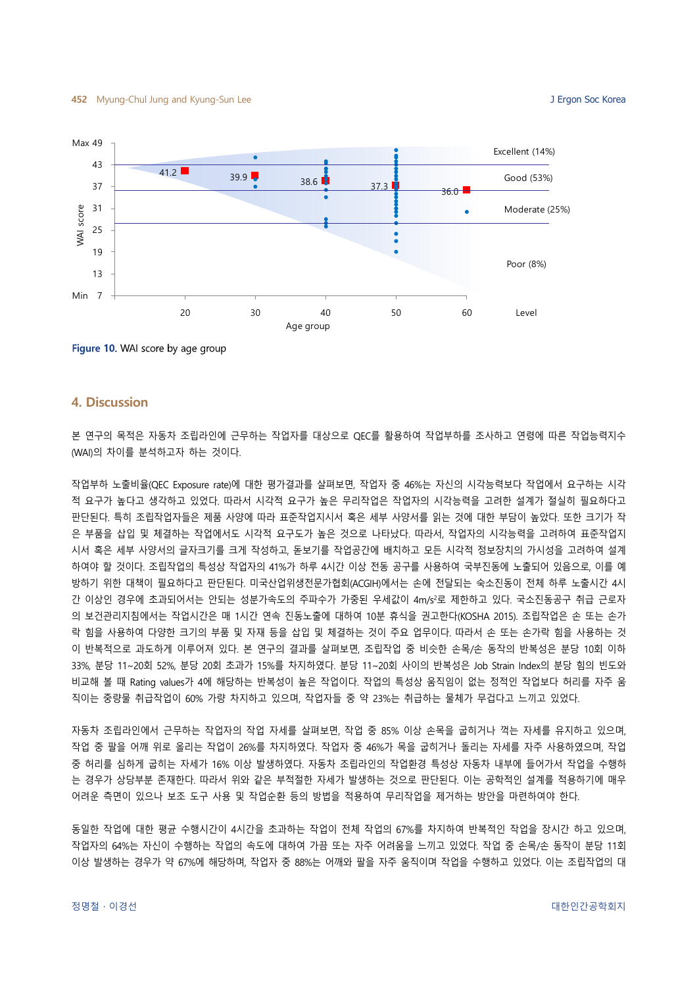

Figure 10. WAI score by age group

#### 4. Discussion

본 연구의 목적은 자동차 조립라인에 근무하는 작업자를 대상으로 QEC를 활용하여 작업부하를 조사하고 연령에 따른 작업능력지수 (WAI)의 차이를 분석하고자 하는 것이다.

작업부하 노출비율(QEC Exposure rate)에 대한 평가결과를 살펴보면, 작업자 중 46%는 자신의 시각능력보다 작업에서 요구하는 시각 적 요구가 높다고 생각하고 있었다. 따라서 시각적 요구가 높은 무리작업은 작업자의 시각능력을 고려한 설계가 절실히 필요하다고 판단된다. 특히 조립작업자들은 제품 사양에 따라 표준작업지시서 혹은 세부 사양서를 읽는 것에 대한 부담이 높았다. 또한 크기가 작 은 부품을 삽입 및 체결하는 작업에서도 시각적 요구도가 높은 것으로 나타났다. 따라서, 작업자의 시각능력을 고려하여 표준작업지 시서 혹은 세부 사양서의 글자크기를 크게 작성하고, 돋보기를 작업공간에 배치하고 모든 시각적 정보장치의 가시성을 고려하여 설계 하여야 할 것이다. 조립작업의 특성상 작업자의 41%가 하루 4시간 이상 전동 공구를 사용하여 국부진동에 노출되어 있음으로, 이를 예 방하기 위한 대책이 필요하다고 판단된다. 미국산업위생전문가협회(ACGIH)에서는 손에 전달되는 숙소진동이 전체 하루 노출시간 4시 간 이상인 경우에 초과되어서는 안되는 성분가속도의 주파수가 가중된 우세값이 4m/s2로 제한하고 있다. 국소진동공구 취급 근로자 의 보건관리지침에서는 작업시간은 매 1시간 연속 진동노출에 대하여 10분 휴식을 권고한다(KOSHA 2015). 조립작업은 손 또는 손가 락 힘을 사용하여 다양한 크기의 부품 및 자재 등을 삽입 및 체결하는 것이 주요 업무이다. 따라서 손 또는 손가락 힘을 사용하는 것 이 반복적으로 과도하게 이루어져 있다. 본 연구의 결과를 살펴보면, 조립작업 중 비슷한 손목/손 동작의 반복성은 분당 10회 이하 33%, 분당 11~20회 52%, 분당 20회 초과가 15%를 차지하였다. 분당 11~20회 사이의 반복성은 Job Strain Index의 분당 힘의 빈도와 비교해 볼 때 Rating values가 4에 해당하는 반복성이 높은 작업이다. 작업의 특성상 움직임이 없는 정적인 작업보다 허리를 자주 움 직이는 중량물 취급작업이 60% 가량 차지하고 있으며, 작업자들 중 약 23%는 취급하는 물체가 무겁다고 느끼고 있었다.

자동차 조립라인에서 근무하는 작업자의 작업 자세를 살펴보면, 작업 중 85% 이상 손목을 굽히거나 꺽는 자세를 유지하고 있으며, 작업 중 팔을 어깨 위로 올리는 작업이 26%를 차지하였다. 작업자 중 46%가 목을 굽히거나 돌리는 자세를 자주 사용하였으며, 작업 중 허리를 심하게 굽히는 자세가 16% 이상 발생하였다. 자동차 조립라인의 작업환경 특성상 자동차 내부에 들어가서 작업을 수행하 는 경우가 상당부분 존재한다. 따라서 위와 같은 부적절한 자세가 발생하는 것으로 판단된다. 이는 공학적인 설계를 적용하기에 매우 어려운 측면이 있으나 보조 도구 사용 및 작업순환 등의 방법을 적용하여 무리작업을 제거하는 방안을 마련하여야 한다.

동일한 작업에 대한 평균 수행시간이 4시간을 초과하는 작업이 전체 작업의 67%를 차지하여 반복적인 작업을 장시간 하고 있으며, 작업자의 64%는 자신이 수행하는 작업의 속도에 대하여 가끔 또는 자주 어려움을 느끼고 있었다. 작업 중 손목/손 동작이 분당 11회 이상 발생하는 경우가 약 67%에 해당하며, 작업자 중 88%는 어깨와 팔을 자주 움직이며 작업을 수행하고 있었다. 이는 조립작업의 대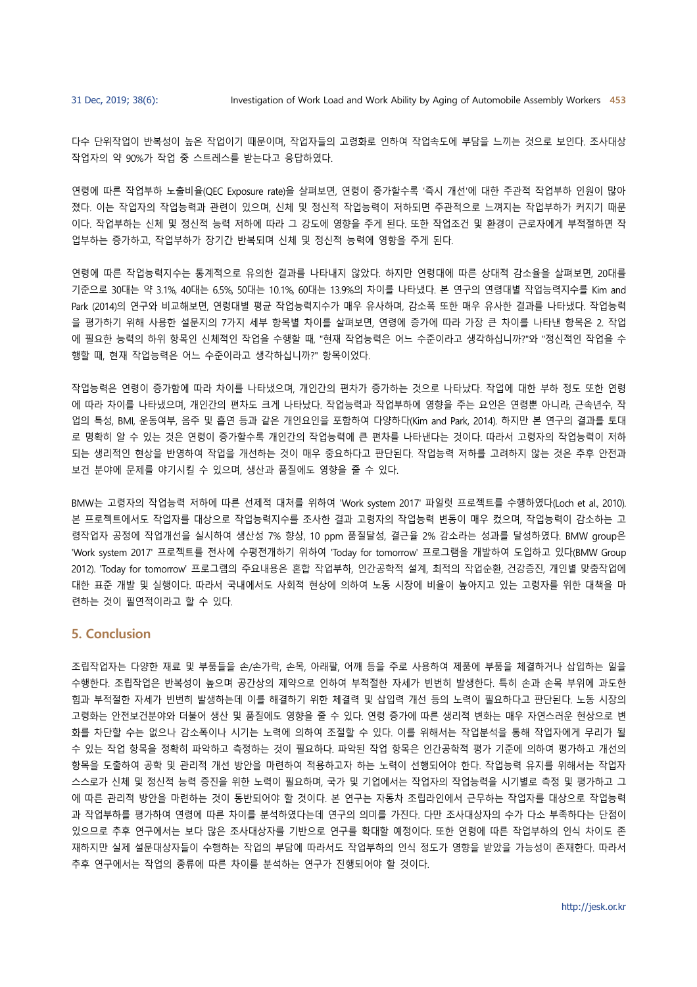다수 단위작업이 반복성이 높은 작업이기 때문이며, 작업자들의 고령화로 인하여 작업속도에 부담을 느끼는 것으로 보인다. 조사대상 작업자의 약 90%가 작업 중 스트레스를 받는다고 응답하였다.

연령에 따른 작업부하 노출비율(QEC Exposure rate)을 살펴보면, 연령이 증가할수록 '즉시 개선'에 대한 주관적 작업부하 인원이 많아 졌다. 이는 작업자의 작업능력과 관련이 있으며, 신체 및 정신적 작업능력이 저하되면 주관적으로 느껴지는 작업부하가 커지기 때문 이다. 작업부하는 신체 및 정신적 능력 저하에 따라 그 강도에 영향을 주게 된다. 또한 작업조건 및 환경이 근로자에게 부적절하면 작 업부하는 증가하고, 작업부하가 장기간 반복되며 신체 및 정신적 능력에 영향을 주게 된다.

연령에 따른 작업능력지수는 통계적으로 유의한 결과를 나타내지 않았다. 하지만 연령대에 따른 상대적 감소율을 살펴보면, 20대를 기준으로 30대는 약 3.1%, 40대는 6.5%, 50대는 10.1%, 60대는 13.9%의 차이를 나타냈다. 본 연구의 연령대별 작업능력지수를 Kim and Park (2014)의 연구와 비교해보면, 연령대별 평균 작업능력지수가 매우 유사하며, 감소폭 또한 매우 유사한 결과를 나타냈다. 작업능력 을 평가하기 위해 사용한 설문지의 7가지 세부 항목별 차이를 살펴보면, 연령에 증가에 따라 가장 큰 차이를 나타낸 항목은 2. 작업 에 필요한 능력의 하위 항목인 신체적인 작업을 수행할 때, "현재 작업능력은 어느 수준이라고 생각하십니까?"와 "정신적인 작업을 수 행할 때, 현재 작업능력은 어느 수준이라고 생각하십니까?" 항목이었다.

작업능력은 연령이 증가함에 따라 차이를 나타냈으며, 개인간의 편차가 증가하는 것으로 나타났다. 작업에 대한 부하 정도 또한 연령 에 따라 차이를 나타냈으며, 개인간의 편차도 크게 나타났다. 작업능력과 작업부하에 영향을 주는 요인은 연령뿐 아니라, 근속년수, 작 업의 특성, BMI, 운동여부, 음주 및 흡연 등과 같은 개인요인을 포함하여 다양하다(Kim and Park, 2014). 하지만 본 연구의 결과를 토대 로 명확히 알 수 있는 것은 연령이 증가할수록 개인간의 작업능력에 큰 편차를 나타낸다는 것이다. 따라서 고령자의 작업능력이 저하 되는 생리적인 현상을 반영하여 작업을 개선하는 것이 매우 중요하다고 판단된다. 작업능력 저하를 고려하지 않는 것은 추후 안전과 보건 분야에 문제를 야기시킬 수 있으며, 생산과 품질에도 영향을 줄 수 있다.

BMW는 고령자의 작업능력 저하에 따른 선제적 대처를 위하여 'Work system 2017' 파일럿 프로젝트를 수행하였다(Loch et al., 2010). 본 프로젝트에서도 작업자를 대상으로 작업능력지수를 조사한 결과 고령자의 작업능력 변동이 매우 컸으며, 작업능력이 감소하는 고 령작업자 공정에 작업개선을 실시하여 생산성 7% 향상, 10 ppm 품질달성, 결근율 2% 감소라는 성과를 달성하였다. BMW group은 'Work system 2017' 프로젝트를 전사에 수평전개하기 위하여 'Today for tomorrow' 프로그램을 개발하여 도입하고 있다(BMW Group 2012). 'Today for tomorrow' 프로그램의 주요내용은 혼합 작업부하, 인간공학적 설계, 최적의 작업순환, 건강증진, 개인별 맞춤작업에 대한 표준 개발 및 실행이다. 따라서 국내에서도 사회적 현상에 의하여 노동 시장에 비율이 높아지고 있는 고령자를 위한 대책을 마 련하는 것이 필연적이라고 할 수 있다.

# 5. Conclusion

조립작업자는 다양한 재료 및 부품들을 손/손가락, 손목, 아래팔, 어깨 등을 주로 사용하여 제품에 부품을 체결하거나 삽입하는 일을 수행한다. 조립작업은 반복성이 높으며 공간상의 제약으로 인하여 부적절한 자세가 빈번히 발생한다. 특히 손과 손목 부위에 과도한 힘과 부적절한 자세가 빈번히 발생하는데 이를 해결하기 위한 체결력 및 삽입력 개선 등의 노력이 필요하다고 판단된다. 노동 시장의 고령화는 안전보건분야와 더불어 생산 및 품질에도 영향을 줄 수 있다. 연령 증가에 따른 생리적 변화는 매우 자연스러운 현상으로 변 화를 차단할 수는 없으나 감소폭이나 시기는 노력에 의하여 조절할 수 있다. 이를 위해서는 작업분석을 통해 작업자에게 무리가 될 수 있는 작업 항목을 정확히 파악하고 측정하는 것이 필요하다. 파악된 작업 항목은 인간공학적 평가 기준에 의하여 평가하고 개선의 항목을 도출하여 공학 및 관리적 개선 방안을 마련하여 적용하고자 하는 노력이 선행되어야 한다. 작업능력 유지를 위해서는 작업자 스스로가 신체 및 정신적 능력 증진을 위한 노력이 필요하며, 국가 및 기업에서는 작업자의 작업능력을 시기별로 측정 및 평가하고 그 에 따른 관리적 방안을 마련하는 것이 동반되어야 할 것이다. 본 연구는 자동차 조립라인에서 근무하는 작업자를 대상으로 작업능력 과 작업부하를 평가하여 연령에 따른 차이를 분석하였다는데 연구의 의미를 가진다. 다만 조사대상자의 수가 다소 부족하다는 단점이 있으므로 추후 연구에서는 보다 많은 조사대상자를 기반으로 연구를 확대할 예정이다. 또한 연령에 따른 작업부하의 인식 차이도 존 재하지만 실제 설문대상자들이 수행하는 작업의 부담에 따라서도 작업부하의 인식 정도가 영향을 받았을 가능성이 존재한다. 따라서 추후 연구에서는 작업의 종류에 따른 차이를 분석하는 연구가 진행되어야 할 것이다.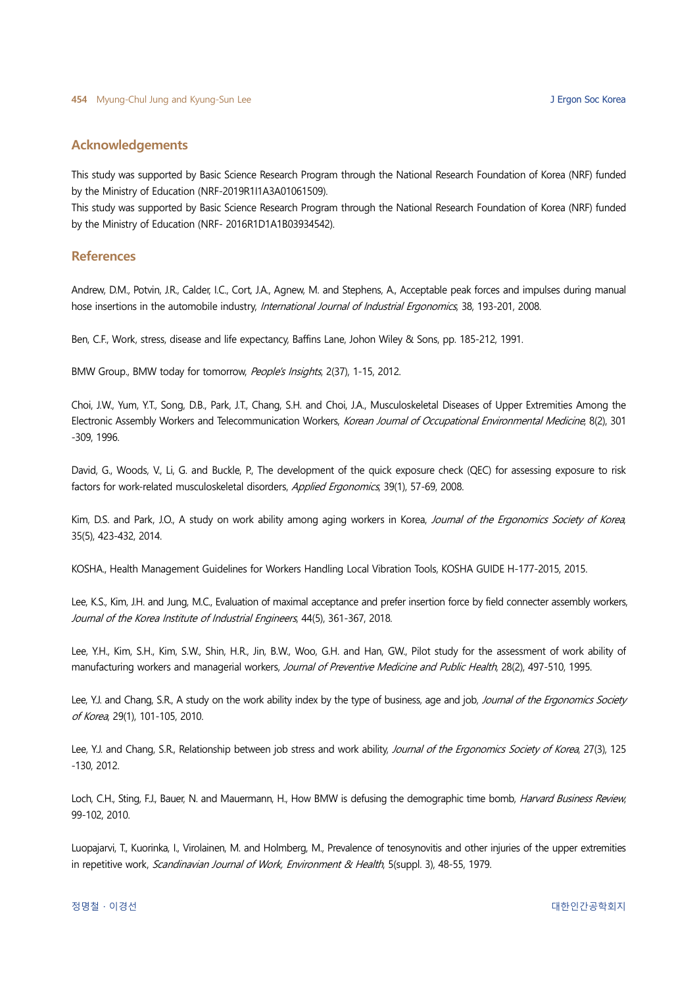## Acknowledgements

This study was supported by Basic Science Research Program through the National Research Foundation of Korea (NRF) funded by the Ministry of Education (NRF-2019R1I1A3A01061509).

This study was supported by Basic Science Research Program through the National Research Foundation of Korea (NRF) funded by the Ministry of Education (NRF- 2016R1D1A1B03934542).

#### **References**

Andrew, D.M., Potvin, J.R., Calder, I.C., Cort, J.A., Agnew, M. and Stephens, A., Acceptable peak forces and impulses during manual hose insertions in the automobile industry, *International Journal of Industrial Ergonomics*, 38, 193-201, 2008.

Ben, C.F., Work, stress, disease and life expectancy, Baffins Lane, Johon Wiley & Sons, pp. 185-212, 1991.

BMW Group., BMW today for tomorrow, People's Insights, 2(37), 1-15, 2012.

Choi, J.W., Yum, Y.T., Song, D.B., Park, J.T., Chang, S.H. and Choi, J.A., Musculoskeletal Diseases of Upper Extremities Among the Electronic Assembly Workers and Telecommunication Workers, Korean Journal of Occupational Environmental Medicine, 8(2), 301 -309, 1996.

David, G., Woods, V., Li, G. and Buckle, P., The development of the quick exposure check (QEC) for assessing exposure to risk factors for work-related musculoskeletal disorders, Applied Ergonomics, 39(1), 57-69, 2008.

Kim, D.S. and Park, J.O., A study on work ability among aging workers in Korea, Journal of the Ergonomics Society of Korea, 35(5), 423-432, 2014.

KOSHA., Health Management Guidelines for Workers Handling Local Vibration Tools, KOSHA GUIDE H-177-2015, 2015.

Lee, K.S., Kim, J.H. and Jung, M.C., Evaluation of maximal acceptance and prefer insertion force by field connecter assembly workers, Journal of the Korea Institute of Industrial Engineers, 44(5), 361-367, 2018.

Lee, Y.H., Kim, S.H., Kim, S.W., Shin, H.R., Jin, B.W., Woo, G.H. and Han, GW., Pilot study for the assessment of work ability of manufacturing workers and managerial workers, Journal of Preventive Medicine and Public Health, 28(2), 497-510, 1995.

Lee, Y.J. and Chang, S.R., A study on the work ability index by the type of business, age and job, Journal of the Ergonomics Society of Korea, 29(1), 101-105, 2010.

Lee, Y.J. and Chang, S.R., Relationship between job stress and work ability, Journal of the Ergonomics Society of Korea, 27(3), 125 -130, 2012.

Loch, C.H., Sting, F.J., Bauer, N. and Mauermann, H., How BMW is defusing the demographic time bomb, *Harvard Business Review*, 99-102, 2010.

Luopajarvi, T., Kuorinka, I., Virolainen, M. and Holmberg, M., Prevalence of tenosynovitis and other injuries of the upper extremities in repetitive work, Scandinavian Journal of Work, Environment & Health, 5(suppl. 3), 48-55, 1979.